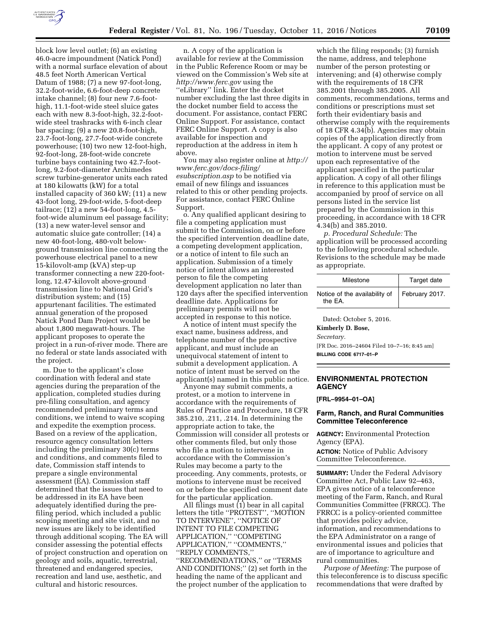

block low level outlet; (6) an existing 46.0-acre impoundment (Natick Pond) with a normal surface elevation of about 48.5 feet North American Vertical Datum of 1988; (7) a new 97-foot-long, 32.2-foot-wide, 6.6-foot-deep concrete intake channel; (8) four new 7.6-foothigh, 11.1-foot-wide steel sluice gates each with new 8.3-foot-high, 32.2-footwide steel trashracks with 6-inch clear bar spacing; (9) a new 20.8-foot-high, 23.7-foot-long, 27.7-foot-wide concrete powerhouse; (10) two new 12-foot-high, 92-foot-long, 28-foot-wide concrete turbine bays containing two 42.7-footlong, 9.2-foot-diameter Archimedes screw turbine-generator units each rated at 180 kilowatts (kW) for a total installed capacity of 360 kW; (11) a new 43-foot long, 29-foot-wide, 5-foot-deep tailrace; (12) a new 54-foot-long, 4.5 foot-wide aluminum eel passage facility; (13) a new water-level sensor and automatic sluice gate controller; (14) a new 40-foot-long, 480-volt belowground transmission line connecting the powerhouse electrical panel to a new 15-kilovolt-amp (kVA) step-up transformer connecting a new 220-footlong, 12.47-kilovolt above-ground transmission line to National Grid's distribution system; and (15) appurtenant facilities. The estimated annual generation of the proposed Natick Pond Dam Project would be about 1,800 megawatt-hours. The applicant proposes to operate the project in a run-of-river mode. There are no federal or state lands associated with the project.

m. Due to the applicant's close coordination with federal and state agencies during the preparation of the application, completed studies during pre-filing consultation, and agency recommended preliminary terms and conditions, we intend to waive scoping and expedite the exemption process. Based on a review of the application, resource agency consultation letters including the preliminary 30(c) terms and conditions, and comments filed to date, Commission staff intends to prepare a single environmental assessment (EA). Commission staff determined that the issues that need to be addressed in its EA have been adequately identified during the prefiling period, which included a public scoping meeting and site visit, and no new issues are likely to be identified through additional scoping. The EA will consider assessing the potential effects of project construction and operation on geology and soils, aquatic, terrestrial, threatened and endangered species, recreation and land use, aesthetic, and cultural and historic resources.

n. A copy of the application is available for review at the Commission in the Public Reference Room or may be viewed on the Commission's Web site at *<http://www.ferc.gov>*using the ''eLibrary'' link. Enter the docket number excluding the last three digits in the docket number field to access the document. For assistance, contact FERC Online Support. For assistance, contact FERC Online Support. A copy is also available for inspection and reproduction at the address in item h above.

You may also register online at *[http://](http://www.ferc.gov/docs-filing/esubscription.asp)  [www.ferc.gov/docs-filing/](http://www.ferc.gov/docs-filing/esubscription.asp)  [esubscription.asp](http://www.ferc.gov/docs-filing/esubscription.asp)* to be notified via email of new filings and issuances related to this or other pending projects. For assistance, contact FERC Online Support.

o. Any qualified applicant desiring to file a competing application must submit to the Commission, on or before the specified intervention deadline date, a competing development application, or a notice of intent to file such an application. Submission of a timely notice of intent allows an interested person to file the competing development application no later than 120 days after the specified intervention deadline date. Applications for preliminary permits will not be accepted in response to this notice.

A notice of intent must specify the exact name, business address, and telephone number of the prospective applicant, and must include an unequivocal statement of intent to submit a development application. A notice of intent must be served on the applicant(s) named in this public notice.

Anyone may submit comments, a protest, or a motion to intervene in accordance with the requirements of Rules of Practice and Procedure, 18 CFR 385.210, .211, .214. In determining the appropriate action to take, the Commission will consider all protests or other comments filed, but only those who file a motion to intervene in accordance with the Commission's Rules may become a party to the proceeding. Any comments, protests, or motions to intervene must be received on or before the specified comment date for the particular application.

All filings must (1) bear in all capital letters the title ''PROTEST'', ''MOTION TO INTERVENE'', ''NOTICE OF INTENT TO FILE COMPETING APPLICATION,'' ''COMPETING APPLICATION,'' ''COMMENTS,'' ''REPLY COMMENTS,'' ''RECOMMENDATIONS,'' or ''TERMS AND CONDITIONS;'' (2) set forth in the heading the name of the applicant and the project number of the application to

which the filing responds; (3) furnish the name, address, and telephone number of the person protesting or intervening; and (4) otherwise comply with the requirements of 18 CFR 385.2001 through 385.2005. All comments, recommendations, terms and conditions or prescriptions must set forth their evidentiary basis and otherwise comply with the requirements of 18 CFR 4.34(b). Agencies may obtain copies of the application directly from the applicant. A copy of any protest or motion to intervene must be served upon each representative of the applicant specified in the particular application. A copy of all other filings in reference to this application must be accompanied by proof of service on all persons listed in the service list prepared by the Commission in this proceeding, in accordance with 18 CFR 4.34(b) and 385.2010.

*p. Procedural Schedule:* The application will be processed according to the following procedural schedule. Revisions to the schedule may be made as appropriate.

| Milestone                                | Target date    |
|------------------------------------------|----------------|
| Notice of the availability of<br>the EA. | February 2017. |

Dated: October 5, 2016.

**Kimberly D. Bose,** 

*Secretary.* 

[FR Doc. 2016–24604 Filed 10–7–16; 8:45 am] **BILLING CODE 6717–01–P** 

# **ENVIRONMENTAL PROTECTION AGENCY**

**[FRL–9954–01–OA]** 

### **Farm, Ranch, and Rural Communities Committee Teleconference**

**AGENCY:** Environmental Protection Agency (EPA).

**ACTION:** Notice of Public Advisory Committee Teleconference.

**SUMMARY:** Under the Federal Advisory Committee Act, Public Law 92–463, EPA gives notice of a teleconference meeting of the Farm, Ranch, and Rural Communities Committee (FRRCC). The FRRCC is a policy-oriented committee that provides policy advice, information, and recommendations to the EPA Administrator on a range of environmental issues and policies that are of importance to agriculture and rural communities.

*Purpose of Meeting:* The purpose of this teleconference is to discuss specific recommendations that were drafted by